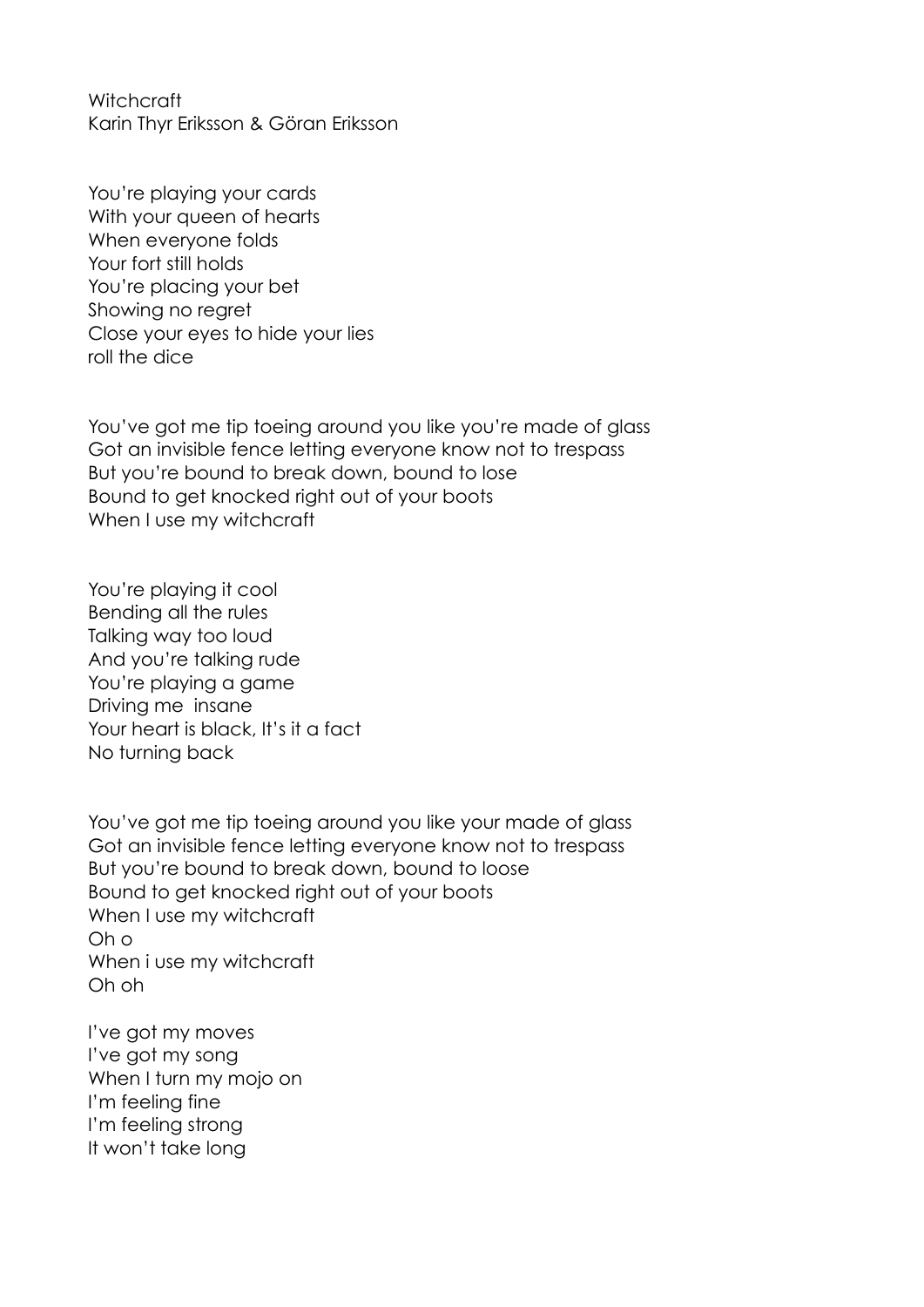**Witchcraft** Karin Thyr Eriksson & Göran Eriksson

You're playing your cards With your queen of hearts When everyone folds Your fort still holds You're placing your bet Showing no regret Close your eyes to hide your lies roll the dice

You've got me tip toeing around you like you're made of glass Got an invisible fence letting everyone know not to trespass But you're bound to break down, bound to lose Bound to get knocked right out of your boots When I use my witchcraft

You're playing it cool Bending all the rules Talking way too loud And you're talking rude You're playing a game Driving me insane Your heart is black, It's it a fact No turning back

You've got me tip toeing around you like your made of glass Got an invisible fence letting everyone know not to trespass But you're bound to break down, bound to loose Bound to get knocked right out of your boots When I use my witchcraft Oh o When i use my witchcraft Oh oh

I've got my moves I've got my song When I turn my mojo on I'm feeling fine I'm feeling strong It won't take long